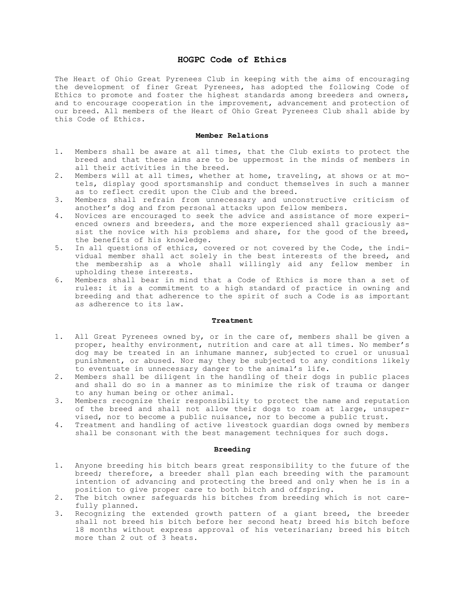# HOGPC Code of Ethics

The Heart of Ohio Great Pyrenees Club in keeping with the aims of encouraging the development of finer Great Pyrenees, has adopted the following Code of Ethics to promote and foster the highest standards among breeders and owners, and to encourage cooperation in the improvement, advancement and protection of our breed. All members of the Heart of Ohio Great Pyrenees Club shall abide by this Code of Ethics.

#### Member Relations

- 1. Members shall be aware at all times, that the Club exists to protect the breed and that these aims are to be uppermost in the minds of members in all their activities in the breed.
- 2. Members will at all times, whether at home, traveling, at shows or at motels, display good sportsmanship and conduct themselves in such a manner as to reflect credit upon the Club and the breed.
- 3. Members shall refrain from unnecessary and unconstructive criticism of another's dog and from personal attacks upon fellow members.
- 4. Novices are encouraged to seek the advice and assistance of more experienced owners and breeders, and the more experienced shall graciously assist the novice with his problems and share, for the good of the breed, the benefits of his knowledge.
- 5. In all questions of ethics, covered or not covered by the Code, the individual member shall act solely in the best interests of the breed, and the membership as a whole shall willingly aid any fellow member in upholding these interests.
- 6. Members shall bear in mind that a Code of Ethics is more than a set of rules: it is a commitment to a high standard of practice in owning and breeding and that adherence to the spirit of such a Code is as important as adherence to its law.

### Treatment

- 1. All Great Pyrenees owned by, or in the care of, members shall be given a proper, healthy environment, nutrition and care at all times. No member's dog may be treated in an inhumane manner, subjected to cruel or unusual punishment, or abused. Nor may they be subjected to any conditions likely to eventuate in unnecessary danger to the animal's life.
- 2. Members shall be diligent in the handling of their dogs in public places and shall do so in a manner as to minimize the risk of trauma or danger to any human being or other animal.
- 3. Members recognize their responsibility to protect the name and reputation of the breed and shall not allow their dogs to roam at large, unsupervised, nor to become a public nuisance, nor to become a public trust.
- 4. Treatment and handling of active livestock guardian dogs owned by members shall be consonant with the best management techniques for such dogs.

#### Breeding

- 1. Anyone breeding his bitch bears great responsibility to the future of the breed; therefore, a breeder shall plan each breeding with the paramount intention of advancing and protecting the breed and only when he is in a position to give proper care to both bitch and offspring.
- 2. The bitch owner safeguards his bitches from breeding which is not carefully planned.
- 3. Recognizing the extended growth pattern of a giant breed, the breeder shall not breed his bitch before her second heat; breed his bitch before 18 months without express approval of his veterinarian; breed his bitch more than 2 out of 3 heats.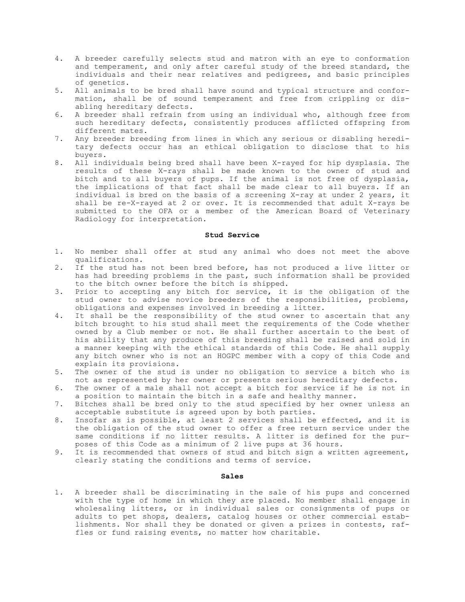- 4. A breeder carefully selects stud and matron with an eye to conformation and temperament, and only after careful study of the breed standard, the individuals and their near relatives and pedigrees, and basic principles of genetics.
- 5. All animals to be bred shall have sound and typical structure and conformation, shall be of sound temperament and free from crippling or disabling hereditary defects.
- 6. A breeder shall refrain from using an individual who, although free from such hereditary defects, consistently produces afflicted offspring from different mates.
- 7. Any breeder breeding from lines in which any serious or disabling hereditary defects occur has an ethical obligation to disclose that to his buyers.
- 8. All individuals being bred shall have been X-rayed for hip dysplasia. The results of these X-rays shall be made known to the owner of stud and bitch and to all buyers of pups. If the animal is not free of dysplasia, the implications of that fact shall be made clear to all buyers. If an individual is bred on the basis of a screening X-ray at under 2 years, it shall be re-X-rayed at 2 or over. It is recommended that adult X-rays be submitted to the OFA or a member of the American Board of Veterinary Radiology for interpretation.

### Stud Service

- 1. No member shall offer at stud any animal who does not meet the above qualifications.
- 2. If the stud has not been bred before, has not produced a live litter or has had breeding problems in the past, such information shall be provided to the bitch owner before the bitch is shipped.
- 3. Prior to accepting any bitch for service, it is the obligation of the stud owner to advise novice breeders of the responsibilities, problems, obligations and expenses involved in breeding a litter.
- 4. It shall be the responsibility of the stud owner to ascertain that any bitch brought to his stud shall meet the requirements of the Code whether owned by a Club member or not. He shall further ascertain to the best of his ability that any produce of this breeding shall be raised and sold in a manner keeping with the ethical standards of this Code. He shall supply any bitch owner who is not an HOGPC member with a copy of this Code and explain its provisions.
- 5. The owner of the stud is under no obligation to service a bitch who is not as represented by her owner or presents serious hereditary defects.
- 6. The owner of a male shall not accept a bitch for service if he is not in a position to maintain the bitch in a safe and healthy manner.
- 7. Bitches shall be bred only to the stud specified by her owner unless an acceptable substitute is agreed upon by both parties.
- 8. Insofar as is possible, at least 2 services shall be effected, and it is the obligation of the stud owner to offer a free return service under the same conditions if no litter results. A litter is defined for the purposes of this Code as a minimum of 2 live pups at 36 hours.
- 9. It is recommended that owners of stud and bitch sign a written agreement, clearly stating the conditions and terms of service.

## Sales

1. A breeder shall be discriminating in the sale of his pups and concerned with the type of home in which they are placed. No member shall engage in wholesaling litters, or in individual sales or consignments of pups or adults to pet shops, dealers, catalog houses or other commercial establishments. Nor shall they be donated or given a prizes in contests, raffles or fund raising events, no matter how charitable.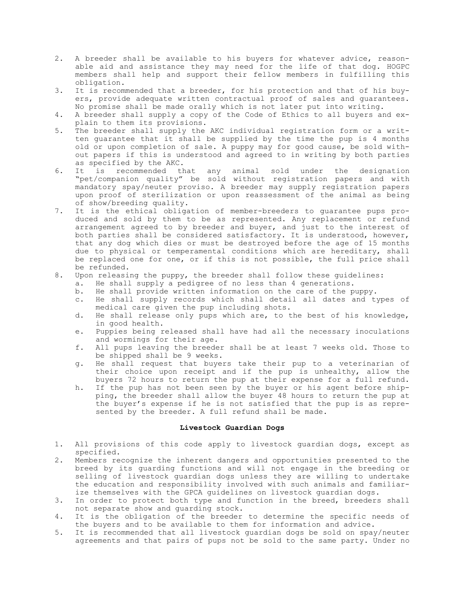- 2. A breeder shall be available to his buyers for whatever advice, reasonable aid and assistance they may need for the life of that dog. HOGPC members shall help and support their fellow members in fulfilling this obligation.
- 3. It is recommended that a breeder, for his protection and that of his buyers, provide adequate written contractual proof of sales and guarantees. No promise shall be made orally which is not later put into writing.
- 4. A breeder shall supply a copy of the Code of Ethics to all buyers and explain to them its provisions.
- 5. The breeder shall supply the AKC individual registration form or a written guarantee that it shall be supplied by the time the pup is 4 months old or upon completion of sale. A puppy may for good cause, be sold without papers if this is understood and agreed to in writing by both parties as specified by the AKC.
- 6. It is recommended that any animal sold under the designation "pet/companion quality" be sold without registration papers and with mandatory spay/neuter proviso. A breeder may supply registration papers upon proof of sterilization or upon reassessment of the animal as being of show/breeding quality.
- 7. It is the ethical obligation of member-breeders to guarantee pups produced and sold by them to be as represented. Any replacement or refund arrangement agreed to by breeder and buyer, and just to the interest of both parties shall be considered satisfactory. It is understood, however, that any dog which dies or must be destroyed before the age of 15 months due to physical or temperamental conditions which are hereditary, shall be replaced one for one, or if this is not possible, the full price shall be refunded.
- 8. Upon releasing the puppy, the breeder shall follow these guidelines:
	- a. He shall supply a pedigree of no less than 4 generations.
	- b. He shall provide written information on the care of the puppy.
	- c. He shall supply records which shall detail all dates and types of medical care given the pup including shots.
	- d. He shall release only pups which are, to the best of his knowledge, in good health.
	- e. Puppies being released shall have had all the necessary inoculations and wormings for their age.
	- f. All pups leaving the breeder shall be at least 7 weeks old. Those to be shipped shall be 9 weeks.
	- g. He shall request that buyers take their pup to a veterinarian of their choice upon receipt and if the pup is unhealthy, allow the buyers 72 hours to return the pup at their expense for a full refund.
	- h. If the pup has not been seen by the buyer or his agent before shipping, the breeder shall allow the buyer 48 hours to return the pup at the buyer's expense if he is not satisfied that the pup is as represented by the breeder. A full refund shall be made.

### Livestock Guardian Dogs

- 1. All provisions of this code apply to livestock guardian dogs, except as specified.
- 2. Members recognize the inherent dangers and opportunities presented to the breed by its guarding functions and will not engage in the breeding or selling of livestock guardian dogs unless they are willing to undertake the education and responsibility involved with such animals and familiarize themselves with the GPCA guidelines on livestock guardian dogs.
- 3. In order to protect both type and function in the breed, breeders shall not separate show and guarding stock.
- 4. It is the obligation of the breeder to determine the specific needs of the buyers and to be available to them for information and advice.
- 5. It is recommended that all livestock guardian dogs be sold on spay/neuter agreements and that pairs of pups not be sold to the same party. Under no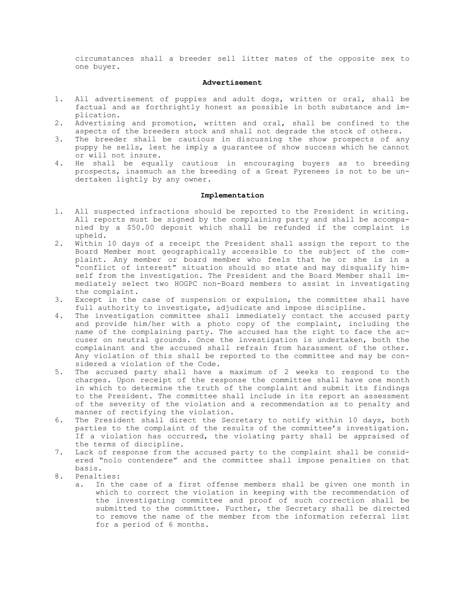circumstances shall a breeder sell litter mates of the opposite sex to one buyer.

### Advertisement

- 1. All advertisement of puppies and adult dogs, written or oral, shall be factual and as forthrightly honest as possible in both substance and implication.
- 2. Advertising and promotion, written and oral, shall be confined to the aspects of the breeders stock and shall not degrade the stock of others.
- 3. The breeder shall be cautious in discussing the show prospects of any puppy he sells, lest he imply a guarantee of show success which he cannot or will not insure.
- 4. He shall be equally cautious in encouraging buyers as to breeding prospects, inasmuch as the breeding of a Great Pyrenees is not to be undertaken lightly by any owner.

# Implementation

- 1. All suspected infractions should be reported to the President in writing. All reports must be signed by the complaining party and shall be accompanied by a \$50.00 deposit which shall be refunded if the complaint is upheld.
- 2. Within 10 days of a receipt the President shall assign the report to the Board Member most geographically accessible to the subject of the complaint. Any member or board member who feels that he or she is in a "conflict of interest" situation should so state and may disqualify himself from the investigation. The President and the Board Member shall immediately select two HOGPC non-Board members to assist in investigating the complaint.
- 3. Except in the case of suspension or expulsion, the committee shall have full authority to investigate, adjudicate and impose discipline.
- 4. The investigation committee shall immediately contact the accused party and provide him/her with a photo copy of the complaint, including the name of the complaining party. The accused has the right to face the accuser on neutral grounds. Once the investigation is undertaken, both the complainant and the accused shall refrain from harassment of the other. Any violation of this shall be reported to the committee and may be considered a violation of the Code.
- 5. The accused party shall have a maximum of 2 weeks to respond to the charges. Upon receipt of the response the committee shall have one month in which to determine the truth of the complaint and submit its findings to the President. The committee shall include in its report an assessment of the severity of the violation and a recommendation as to penalty and manner of rectifying the violation.
- 6. The President shall direct the Secretary to notify within 10 days, both parties to the complaint of the results of the committee's investigation. If a violation has occurred, the violating party shall be appraised of the terms of discipline.
- 7. Lack of response from the accused party to the complaint shall be considered "nolo contendere" and the committee shall impose penalties on that basis.
- 8. Penalties:
	- a. In the case of a first offense members shall be given one month in which to correct the violation in keeping with the recommendation of the investigating committee and proof of such correction shall be submitted to the committee. Further, the Secretary shall be directed to remove the name of the member from the information referral list for a period of 6 months.